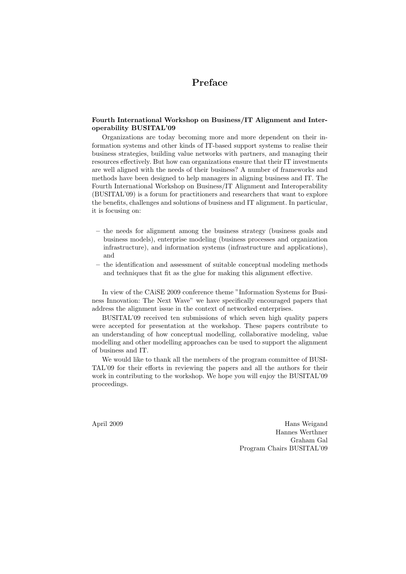### Preface

#### Fourth International Workshop on Business/IT Alignment and Interoperability BUSITAL'09

Organizations are today becoming more and more dependent on their information systems and other kinds of IT-based support systems to realise their business strategies, building value networks with partners, and managing their resources effectively. But how can organizations ensure that their IT investments are well aligned with the needs of their business? A number of frameworks and methods have been designed to help managers in aligning business and IT. The Fourth International Workshop on Business/IT Alignment and Interoperability (BUSITAL'09) is a forum for practitioners and researchers that want to explore the benefits, challenges and solutions of business and IT alignment. In particular, it is focusing on:

- the needs for alignment among the business strategy (business goals and business models), enterprise modeling (business processes and organization infrastructure), and information systems (infrastructure and applications), and
- the identification and assessment of suitable conceptual modeling methods and techniques that fit as the glue for making this alignment effective.

In view of the CAiSE 2009 conference theme "Information Systems for Business Innovation: The Next Wave" we have specifically encouraged papers that address the alignment issue in the context of networked enterprises.

BUSITAL'09 received ten submissions of which seven high quality papers were accepted for presentation at the workshop. These papers contribute to an understanding of how conceptual modelling, collaborative modeling, value modelling and other modelling approaches can be used to support the alignment of business and IT.

We would like to thank all the members of the program committee of BUSI-TAL'09 for their efforts in reviewing the papers and all the authors for their work in contributing to the workshop. We hope you will enjoy the BUSITAL'09 proceedings.

April 2009 Hans Weigand Hannes Werthner Graham Gal Program Chairs BUSITAL'09